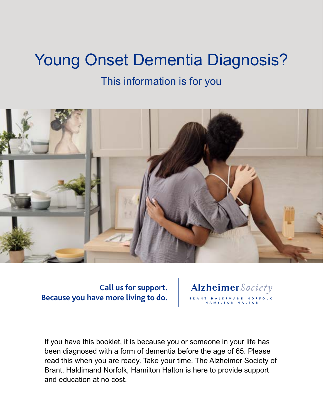# Young Onset Dementia Diagnosis?

### This information is for you



**Call us for support. Because you have more living to do.**

Alzheimer Society BRANT, HALDIMAND NORFOLK, **AMILTON** 

If you have this booklet, it is because you or someone in your life has been diagnosed with a form of dementia before the age of 65. Please read this when you are ready. Take your time. The Alzheimer Society of Brant, Haldimand Norfolk, Hamilton Halton is here to provide support and education at no cost.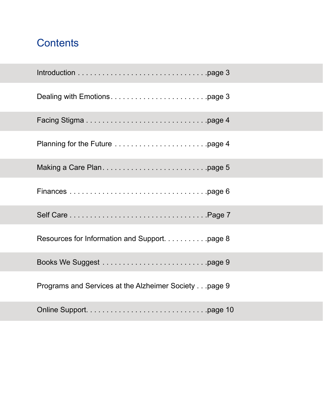# <span id="page-1-0"></span>**Contents**

| Programs and Services at the Alzheimer Society page 9 |
|-------------------------------------------------------|
|                                                       |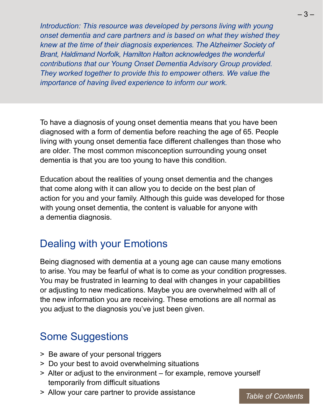<span id="page-2-0"></span>*Introduction: This resource was developed by persons living with young onset dementia and care partners and is based on what they wished they knew at the time of their diagnosis experiences. The Alzheimer Society of Brant, Haldimand Norfolk, Hamilton Halton acknowledges the wonderful contributions that our Young Onset Dementia Advisory Group provided. They worked together to provide this to empower others. We value the importance of having lived experience to inform our work.*

To have a diagnosis of young onset dementia means that you have been diagnosed with a form of dementia before reaching the age of 65. People living with young onset dementia face different challenges than those who are older. The most common misconception surrounding young onset dementia is that you are too young to have this condition.

Education about the realities of young onset dementia and the changes that come along with it can allow you to decide on the best plan of action for you and your family. Although this guide was developed for those with young onset dementia, the content is valuable for anyone with a dementia diagnosis.

### Dealing with your Emotions

Being diagnosed with dementia at a young age can cause many emotions to arise. You may be fearful of what is to come as your condition progresses. You may be frustrated in learning to deal with changes in your capabilities or adjusting to new medications. Maybe you are overwhelmed with all of the new information you are receiving. These emotions are all normal as you adjust to the diagnosis you've just been given.

### Some Suggestions

- > Be aware of your personal triggers
- > Do your best to avoid overwhelming situations
- > Alter or adjust to the environment for example, remove yourself temporarily from difficult situations
- > Allow your care partner to provide assistance

*[Table of Contents](#page-1-0)*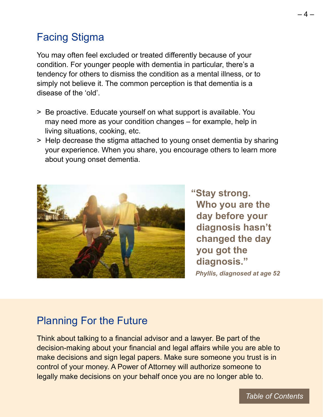# <span id="page-3-0"></span>Facing Stigma

You may often feel excluded or treated differently because of your condition. For younger people with dementia in particular, there's a tendency for others to dismiss the condition as a mental illness, or to simply not believe it. The common perception is that dementia is a disease of the 'old'.

- > Be proactive. Educate yourself on what support is available. You may need more as your condition changes – for example, help in living situations, cooking, etc.
- > Help decrease the stigma attached to young onset dementia by sharing your experience. When you share, you encourage others to learn more about young onset dementia.



 **"Stay strong. Who you are the day before your diagnosis hasn't changed the day you got the diagnosis."**   *Phyllis, diagnosed at age 52*

### Planning For the Future

Think about talking to a financial advisor and a lawyer. Be part of the decision-making about your financial and legal affairs while you are able to make decisions and sign legal papers. Make sure someone you trust is in control of your money. A Power of Attorney will authorize someone to legally make decisions on your behalf once you are no longer able to.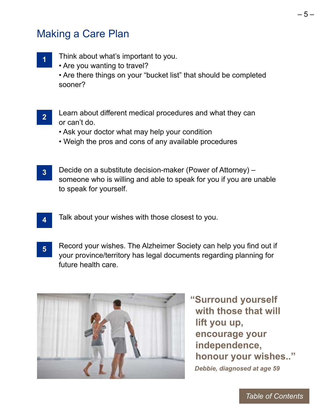### <span id="page-4-0"></span>Making a Care Plan

**1**

**4**

- Think about what's important to you.
	- Are you wanting to travel?

• Are there things on your "bucket list" that should be completed sooner?

- **2** Learn about different medical procedures and what they can or can't do.
	- Ask your doctor what may help your condition
	- Weigh the pros and cons of any available procedures
- **3** Decide on a substitute decision-maker (Power of Attorney) – someone who is willing and able to speak for you if you are unable to speak for yourself.
	- Talk about your wishes with those closest to you.
- **5** Record your wishes. The Alzheimer Society can help you find out if your province/territory has legal documents regarding planning for future health care.



**"Surround yourself with those that will lift you up, encourage your independence, honour your wishes.."**   *Debbie, diagnosed at age 59*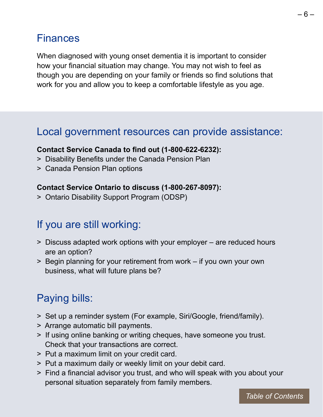## <span id="page-5-0"></span>Finances

When diagnosed with young onset dementia it is important to consider how your financial situation may change. You may not wish to feel as though you are depending on your family or friends so find solutions that work for you and allow you to keep a comfortable lifestyle as you age.

#### Local government resources can provide assistance:

#### **Contact Service Canada to find out (1-800-622-6232):**

- > Disability Benefits under the Canada Pension Plan
- > Canada Pension Plan options

#### **Contact Service Ontario to discuss (1-800-267-8097):**

> Ontario Disability Support Program (ODSP)

#### If you are still working:

- > Discuss adapted work options with your employer are reduced hours are an option?
- > Begin planning for your retirement from work if you own your own business, what will future plans be?

### Paying bills:

- > Set up a reminder system (For example, Siri/Google, friend/family).
- > Arrange automatic bill payments.
- > If using online banking or writing cheques, have someone you trust. Check that your transactions are correct.
- > Put a maximum limit on your credit card.
- > Put a maximum daily or weekly limit on your debit card.
- > Find a financial advisor you trust, and who will speak with you about your personal situation separately from family members.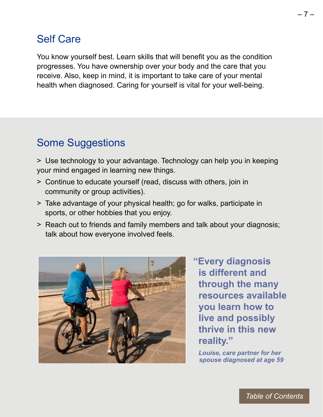### <span id="page-6-0"></span>Self Care

You know yourself best. Learn skills that will benefit you as the condition progresses. You have ownership over your body and the care that you receive. Also, keep in mind, it is important to take care of your mental health when diagnosed. Caring for yourself is vital for your well-being.

# Some Suggestions

> Use technology to your advantage. Technology can help you in keeping your mind engaged in learning new things.

- > Continue to educate yourself (read, discuss with others, join in community or group activities).
- > Take advantage of your physical health; go for walks, participate in sports, or other hobbies that you enjoy.
- > Reach out to friends and family members and talk about your diagnosis; talk about how everyone involved feels.



**"Every diagnosis is different and through the many resources available you learn how to live and possibly thrive in this new reality."** 

 *Louise, care partner for her spouse diagnosed at age 59*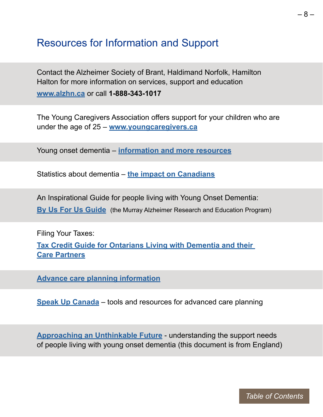#### <span id="page-7-0"></span>Resources for Information and Support

Contact the Alzheimer Society of Brant, Haldimand Norfolk, Hamilton Halton for more information on services, support and education **[www.alzhn.ca](http://alzhn.ca)** or call **1-888-343-1017**

The Young Caregivers Association offers support for your children who are under the age of 25 – **[www.youngcaregivers.ca](http://www.youngcaregivers.ca)**

Young onset dementia – **[information and more resources](http://alzheimer.ca/en/about-dementia/other-types-dementia/young-onset-dementia)**

Statistics about dementia – **[the impact on Canadians](http://www.cihi.ca/en/dementia-in-canada/how-dementia-impacts-canadians)**

An Inspirational Guide for people living with Young Onset Dementia: **[By Us For Us Guide](http://the-ria.ca/wp-content/uploads/2018/11/BUFU-Guide-Young-Onset-Dementia_AODA.pdf)** (the Murray Alzheimer Research and Education Program)

Filing Your Taxes: **[Tax Credit Guide for Ontarians Living with Dementia and their](https://alzheimer.ca/on/sites/on/files/documents/Tax%20Credit%20Guide%20for%20Ontarians%20Living%20with%20Dementia.pdf)  [Care Partners](https://alzheimer.ca/on/sites/on/files/documents/Tax%20Credit%20Guide%20for%20Ontarians%20Living%20with%20Dementia.pdf)**

**[Advance care planning information](https://alzheimer.ca/en/help-support/im-living-dementia/planning-your-future#Legal_and_financial_planning)**

**[Speak Up Canada](https://www.advancecareplanning.ca/)** – tools and resources for advanced care planning

**[Approaching an Unthinkable Future](https://www.youngdementiauk.org/sites/default/files/approaching_an_unthinkable_future_lr.pdf)** - understanding the support needs of people living with young onset dementia (this document is from England)

*[Table of Contents](#page-1-0)*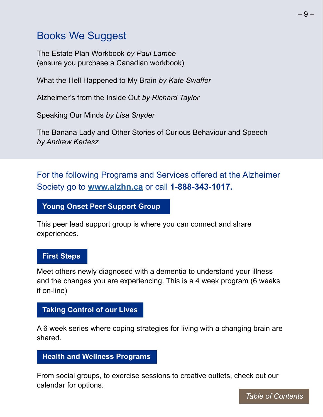### <span id="page-8-0"></span>Books We Suggest

The Estate Plan Workbook *by Paul Lambe* (ensure you purchase a Canadian workbook)

What the Hell Happened to My Brain *by Kate Swaffer*

Alzheimer's from the Inside Out *by Richard Taylor*

Speaking Our Minds *by Lisa Snyder*

The Banana Lady and Other Stories of Curious Behaviour and Speech *by Andrew Kertesz*

For the following Programs and Services offered at the Alzheimer Society go to **[www.alzhn.ca](http://www.alzhn.ca)** or call **1-888-343-1017.**

**Young Onset Peer Support Group**

This peer lead support group is where you can connect and share experiences.

#### **First Steps**

Meet others newly diagnosed with a dementia to understand your illness and the changes you are experiencing. This is a 4 week program (6 weeks if on-line)

#### **Taking Control of our Lives**

A 6 week series where coping strategies for living with a changing brain are shared.

#### **Health and Wellness Programs**

From social groups, to exercise sessions to creative outlets, check out our calendar for options.